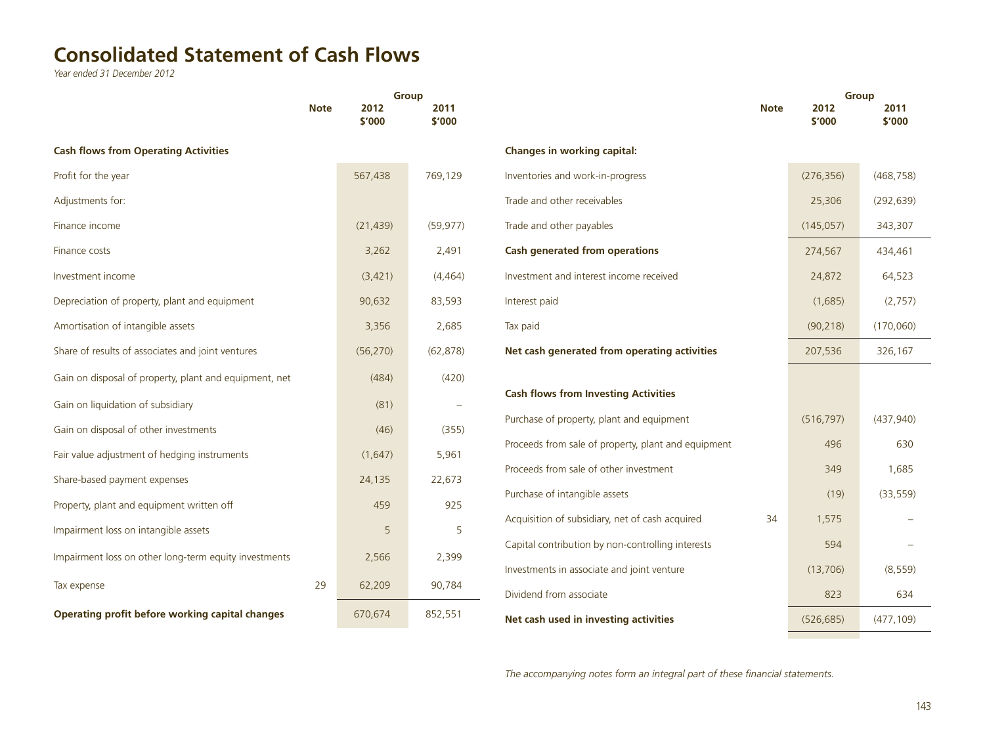## **Consolidated Statement of Cash Flows**

*Year ended 31 December 2012*

|                                                        |             | <b>Group</b>   |                |                                                     |             |                | <b>Group</b>   |  |
|--------------------------------------------------------|-------------|----------------|----------------|-----------------------------------------------------|-------------|----------------|----------------|--|
|                                                        | <b>Note</b> | 2012<br>\$'000 | 2011<br>\$'000 |                                                     | <b>Note</b> | 2012<br>\$'000 | 2011<br>\$'000 |  |
| <b>Cash flows from Operating Activities</b>            |             |                |                | Changes in working capital:                         |             |                |                |  |
| Profit for the year                                    |             | 567,438        | 769,129        | Inventories and work-in-progress                    |             | (276, 356)     | (468, 758)     |  |
| Adjustments for:                                       |             |                |                | Trade and other receivables                         |             | 25,306         | (292, 639)     |  |
| Finance income                                         |             | (21, 439)      | (59, 977)      | Trade and other payables                            |             | (145, 057)     | 343,307        |  |
| Finance costs                                          |             | 3,262          | 2,491          | <b>Cash generated from operations</b>               |             | 274,567        | 434,461        |  |
| Investment income                                      |             | (3,421)        | (4, 464)       | Investment and interest income received             |             | 24,872         | 64,523         |  |
| Depreciation of property, plant and equipment          |             | 90,632         | 83,593         | Interest paid                                       |             | (1,685)        | (2,757)        |  |
| Amortisation of intangible assets                      |             | 3,356          | 2,685          | Tax paid                                            |             | (90, 218)      | (170,060)      |  |
| Share of results of associates and joint ventures      |             | (56, 270)      | (62, 878)      | Net cash generated from operating activities        |             | 207,536        | 326,167        |  |
| Gain on disposal of property, plant and equipment, net |             | (484)          | (420)          |                                                     |             |                |                |  |
| Gain on liquidation of subsidiary                      |             | (81)           |                | <b>Cash flows from Investing Activities</b>         |             |                |                |  |
| Gain on disposal of other investments                  |             | (46)           | (355)          | Purchase of property, plant and equipment           |             | (516, 797)     | (437, 940)     |  |
| Fair value adjustment of hedging instruments           |             | (1,647)        | 5,961          | Proceeds from sale of property, plant and equipment |             | 496            | 630            |  |
| Share-based payment expenses                           |             | 24,135         | 22,673         | Proceeds from sale of other investment              |             | 349            | 1,685          |  |
| Property, plant and equipment written off              |             | 459            | 925            | Purchase of intangible assets                       |             | (19)           | (33, 559)      |  |
| Impairment loss on intangible assets                   |             | 5              | 5              | Acquisition of subsidiary, net of cash acquired     | 34          | 1,575          |                |  |
| Impairment loss on other long-term equity investments  |             | 2,566          | 2,399          | Capital contribution by non-controlling interests   |             | 594            |                |  |
| Tax expense                                            | 29          | 62,209         | 90,784         | Investments in associate and joint venture          |             | (13,706)       | (8, 559)       |  |
|                                                        |             |                |                | Dividend from associate                             |             | 823            | 634            |  |
| Operating profit before working capital changes        |             | 670,674        | 852,551        | Net cash used in investing activities               |             | (526, 685)     | (477, 109)     |  |
|                                                        |             |                |                |                                                     |             |                |                |  |

*The accompanying notes form an integral part of these financial statements.*